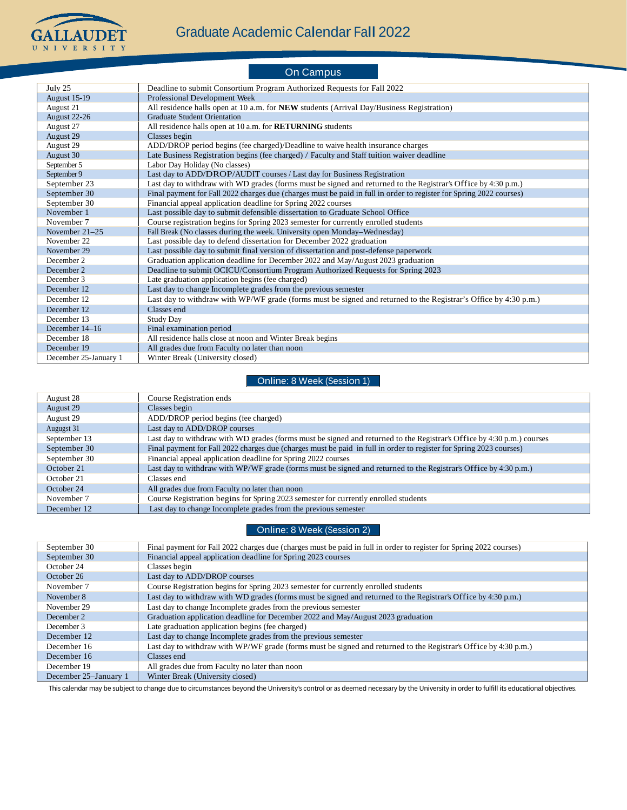

#### On Campus July 25 Deadline to submit Consortium Program Authorized Requests for Fall 2022 August 15-19 Professional Development Week August 21 All residence halls open at 10 a.m. for **NEW** students (Arrival Day/Business Registration)<br>August 22-26 Graduate Student Orientation **Graduate Student Orientation** August 27 All residence halls open at 10 a.m. for **RETURNING** students<br>August 29 Classes begin August 29<br>August 29 ADD/DROP period begins (fee charged)/Deadline to waive health insurance charges August 30 Late Business Registration begins (fee charged) / Faculty and Staff tuition waiver deadline<br>September 5 Labor Day Holiday (No classes) Labor Day Holiday (No classes) September 9 Last day to ADD/DROP/AUDIT courses / Last day for Business Registration<br>September 23 Last day to withdraw with WD grades (forms must be signed and returned to Last day to withdraw with WD grades (forms must be signed and returned to the Registrar's Office by 4:30 p.m.) September 30 Final payment for Fall 2022 charges due (charges must be paid in full in order to register for Spring 2022 courses)<br>September 30 Financial appeal application deadline for Spring 2022 courses Financial appeal application deadline for Spring 2022 courses November 1 Last possible day to submit defensible dissertation to Graduate School Office<br>November 7 Course registration begins for Spring 2023 semester for currently enrolled stude November 7 Course registration begins for Spring 2023 semester for currently enrolled students<br>November 21–25 Fall Break (No classes during the week. University open Monday–Wednesday) November 21–25 Fall Break (No classes during the week. University open Monday–Wednesday)<br>November 22 Last possible day to defend dissertation for December 2022 graduation Last possible day to defend dissertation for December 2022 graduation November 29 **Last possible day to submit final version of dissertation and post-defense paperwork** December 2 Graduation application deadline for December 2022 and May/August 2023 graduation<br>December 2 Deadline to submit OCICU/Consortium Program Authorized Requests for Spring 202 Deadline to submit OCICU/Consortium Program Authorized Requests for Spring 2023 December 3 Late graduation application begins (fee charged)<br>December 12 Last day to change Incomplete grades from the p Last day to change Incomplete grades from the previous semester December 12 Last day to withdraw with WP/WF grade (forms must be signed and returned to the Registrar's Office by 4:30 p.m.) December 12 Classes end<br>December 13 Study Day December 13 December 14–16 Final examination period December 18 All residence halls close at noon and Winter Break begins<br>December 19 All grades due from Faculty no later than noon December 19 **All grades due from Faculty no later than noon**<br>December 25-January 1 Winter Break (University closed) Winter Break (University closed)

### Online: 8 Week (Session 1)

| August 28    | Course Registration ends                                                                                               |
|--------------|------------------------------------------------------------------------------------------------------------------------|
| August 29    | Classes begin                                                                                                          |
| August 29    | ADD/DROP period begins (fee charged)                                                                                   |
| Augugst 31   | Last day to ADD/DROP courses                                                                                           |
| September 13 | Last day to withdraw with WD grades (forms must be signed and returned to the Registrar's Office by 4:30 p.m.) courses |
| September 30 | Final payment for Fall 2022 charges due (charges must be paid in full in order to register for Spring 2023 courses)    |
| September 30 | Financial appeal application deadline for Spring 2022 courses                                                          |
| October 21   | Last day to withdraw with WP/WF grade (forms must be signed and returned to the Registrar's Office by 4:30 p.m.)       |
| October 21   | Classes end                                                                                                            |
| October 24   | All grades due from Faculty no later than noon                                                                         |
| November 7   | Course Registration begins for Spring 2023 semester for currently enrolled students                                    |
| December 12  | Last day to change Incomplete grades from the previous semester                                                        |

#### Online: 8 Week (Session 2)

| September 30          | Final payment for Fall 2022 charges due (charges must be paid in full in order to register for Spring 2022 courses) |
|-----------------------|---------------------------------------------------------------------------------------------------------------------|
| September 30          | Financial appeal application deadline for Spring 2023 courses                                                       |
| October 24            | Classes begin                                                                                                       |
| October 26            | Last day to ADD/DROP courses                                                                                        |
| November 7            | Course Registration begins for Spring 2023 semester for currently enrolled students                                 |
| November 8            | Last day to withdraw with WD grades (forms must be signed and returned to the Registrar's Office by 4:30 p.m.)      |
| November 29           | Last day to change Incomplete grades from the previous semester                                                     |
| December 2            | Graduation application deadline for December 2022 and May/August 2023 graduation                                    |
| December 3            | Late graduation application begins (fee charged)                                                                    |
| December 12           | Last day to change Incomplete grades from the previous semester                                                     |
| December 16           | Last day to withdraw with WP/WF grade (forms must be signed and returned to the Registrar's Office by 4:30 p.m.)    |
| December 16           | Classes end                                                                                                         |
| December 19           | All grades due from Faculty no later than noon                                                                      |
| December 25–January 1 | Winter Break (University closed)                                                                                    |

This calendar may be subject to change due to circumstances beyond the University's control or as deemed necessary by the University in order to fulfill its educational objectives.